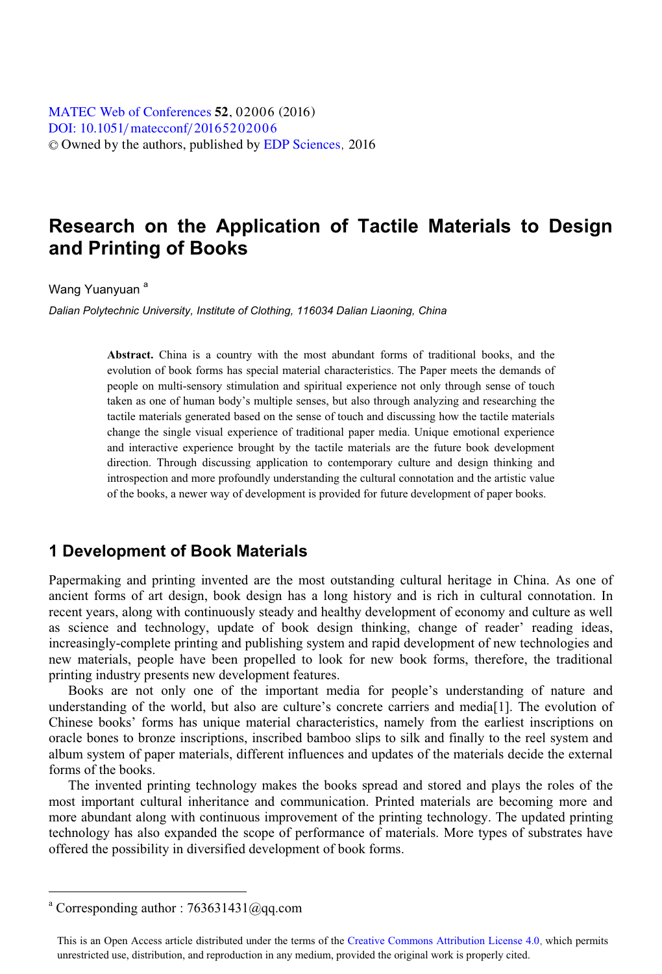[DOI: 10.1051](http://dx.doi.org/10.1051/matecconf/20165202006)/matecconf/20165202006 © Owned by the authors, published by [EDP Sciences](http://www.edpsciences.org), 2016 MATEC [Web of Conferences](http://www.matec-conferences.org) 52, 02006 (2016)

# **Research on the Application of Tactile Materials to Design and Printing of Books**

Wang Yuanyuan<sup>a</sup>

*Dalian Polytechnic University, Institute of Clothing, 116034 Dalian Liaoning, China* 

**Abstract.** China is a country with the most abundant forms of traditional books, and the evolution of book forms has special material characteristics. The Paper meets the demands of people on multi-sensory stimulation and spiritual experience not only through sense of touch taken as one of human body's multiple senses, but also through analyzing and researching the tactile materials generated based on the sense of touch and discussing how the tactile materials change the single visual experience of traditional paper media. Unique emotional experience and interactive experience brought by the tactile materials are the future book development direction. Through discussing application to contemporary culture and design thinking and introspection and more profoundly understanding the cultural connotation and the artistic value of the books, a newer way of development is provided for future development of paper books.

## **1 Development of Book Materials**

Papermaking and printing invented are the most outstanding cultural heritage in China. As one of ancient forms of art design, book design has a long history and is rich in cultural connotation. In recent years, along with continuously steady and healthy development of economy and culture as well as science and technology, update of book design thinking, change of reader' reading ideas, increasingly-complete printing and publishing system and rapid development of new technologies and new materials, people have been propelled to look for new book forms, therefore, the traditional printing industry presents new development features.

Books are not only one of the important media for people's understanding of nature and understanding of the world, but also are culture's concrete carriers and media[1]. The evolution of Chinese books' forms has unique material characteristics, namely from the earliest inscriptions on oracle bones to bronze inscriptions, inscribed bamboo slips to silk and finally to the reel system and album system of paper materials, different influences and updates of the materials decide the external forms of the books.

The invented printing technology makes the books spread and stored and plays the roles of the most important cultural inheritance and communication. Printed materials are becoming more and more abundant along with continuous improvement of the printing technology. The updated printing technology has also expanded the scope of performance of materials. More types of substrates have offered the possibility in diversified development of book forms.

 $\overline{a}$ 

<sup>&</sup>lt;sup>a</sup> Corresponding author : 763631431@qq.com

This is an Open Access article distributed under the terms of the Creative Commons Attribution License 4.0, which permits unrestricted use, distribution, and reproduction in any medium, provided the original work is properly cited.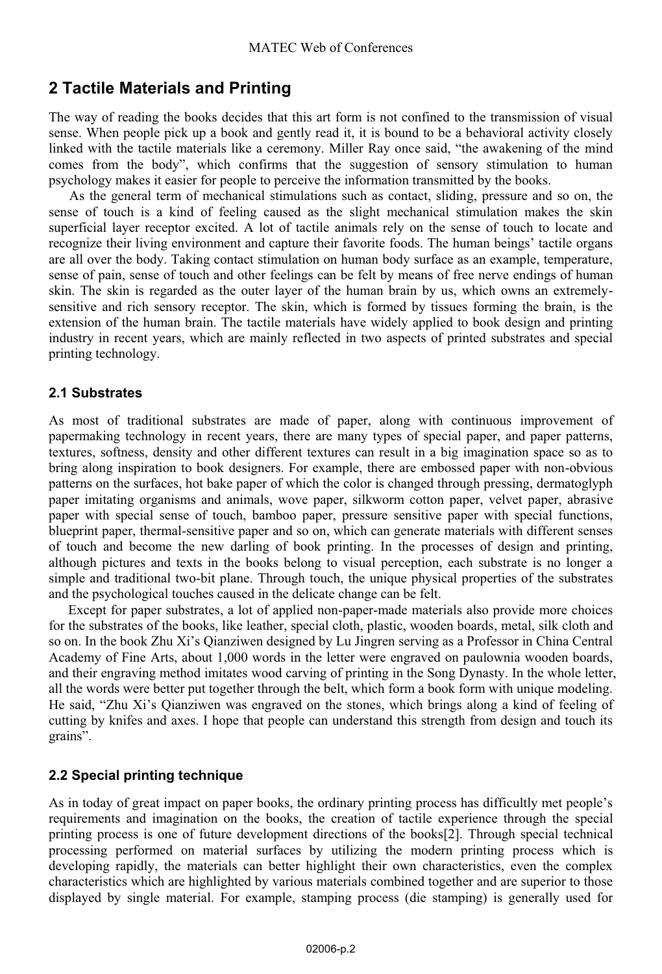# **2 Tactile Materials and Printing**

The way of reading the books decides that this art form is not confined to the transmission of visual sense. When people pick up a book and gently read it, it is bound to be a behavioral activity closely linked with the tactile materials like a ceremony. Miller Ray once said, "the awakening of the mind comes from the body", which confirms that the suggestion of sensory stimulation to human psychology makes it easier for people to perceive the information transmitted by the books.

As the general term of mechanical stimulations such as contact, sliding, pressure and so on, the sense of touch is a kind of feeling caused as the slight mechanical stimulation makes the skin superficial layer receptor excited. A lot of tactile animals rely on the sense of touch to locate and recognize their living environment and capture their favorite foods. The human beings' tactile organs are all over the body. Taking contact stimulation on human body surface as an example, temperature, sense of pain, sense of touch and other feelings can be felt by means of free nerve endings of human skin. The skin is regarded as the outer layer of the human brain by us, which owns an extremelysensitive and rich sensory receptor. The skin, which is formed by tissues forming the brain, is the extension of the human brain. The tactile materials have widely applied to book design and printing industry in recent years, which are mainly reflected in two aspects of printed substrates and special printing technology.

## **2.1 Substrates**

As most of traditional substrates are made of paper, along with continuous improvement of papermaking technology in recent years, there are many types of special paper, and paper patterns, textures, softness, density and other different textures can result in a big imagination space so as to bring along inspiration to book designers. For example, there are embossed paper with non-obvious patterns on the surfaces, hot bake paper of which the color is changed through pressing, dermatoglyph paper imitating organisms and animals, wove paper, silkworm cotton paper, velvet paper, abrasive paper with special sense of touch, bamboo paper, pressure sensitive paper with special functions, blueprint paper, thermal-sensitive paper and so on, which can generate materials with different senses of touch and become the new darling of book printing. In the processes of design and printing, although pictures and texts in the books belong to visual perception, each substrate is no longer a simple and traditional two-bit plane. Through touch, the unique physical properties of the substrates and the psychological touches caused in the delicate change can be felt.

Except for paper substrates, a lot of applied non-paper-made materials also provide more choices for the substrates of the books, like leather, special cloth, plastic, wooden boards, metal, silk cloth and so on. In the book Zhu Xi's Qianziwen designed by Lu Jingren serving as a Professor in China Central Academy of Fine Arts, about 1,000 words in the letter were engraved on paulownia wooden boards, and their engraving method imitates wood carving of printing in the Song Dynasty. In the whole letter, all the words were better put together through the belt, which form a book form with unique modeling. He said, "Zhu Xi's Qianziwen was engraved on the stones, which brings along a kind of feeling of cutting by knifes and axes. I hope that people can understand this strength from design and touch its grains".

## **2.2 Special printing technique**

As in today of great impact on paper books, the ordinary printing process has difficultly met people's requirements and imagination on the books, the creation of tactile experience through the special printing process is one of future development directions of the books[2]. Through special technical processing performed on material surfaces by utilizing the modern printing process which is developing rapidly, the materials can better highlight their own characteristics, even the complex characteristics which are highlighted by various materials combined together and are superior to those displayed by single material. For example, stamping process (die stamping) is generally used for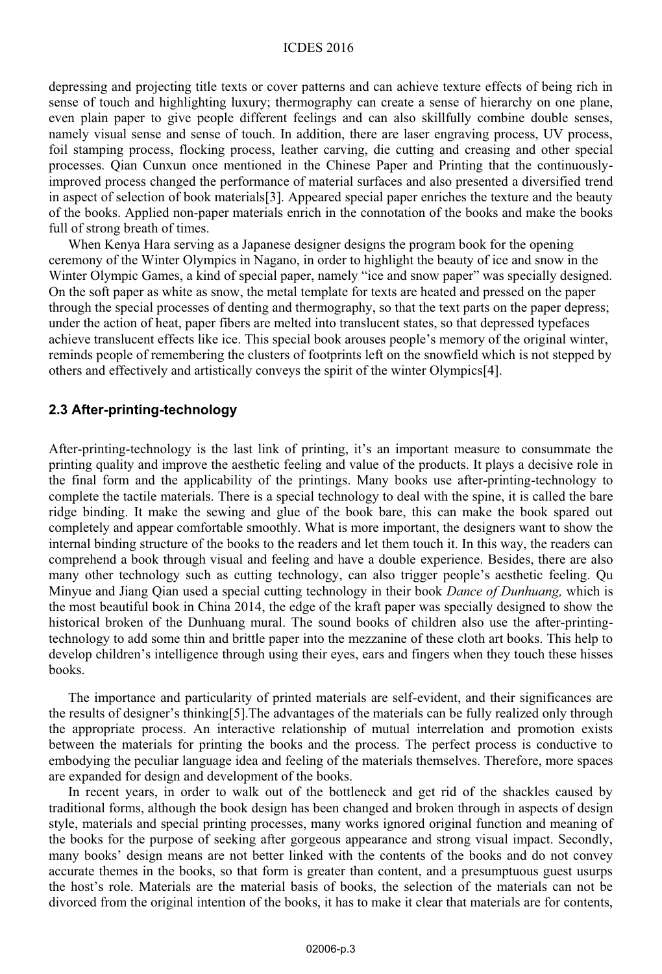#### ICDES 2016

depressing and projecting title texts or cover patterns and can achieve texture effects of being rich in sense of touch and highlighting luxury; thermography can create a sense of hierarchy on one plane, even plain paper to give people different feelings and can also skillfully combine double senses, namely visual sense and sense of touch. In addition, there are laser engraving process, UV process, foil stamping process, flocking process, leather carving, die cutting and creasing and other special processes. Qian Cunxun once mentioned in the Chinese Paper and Printing that the continuouslyimproved process changed the performance of material surfaces and also presented a diversified trend in aspect of selection of book materials[3]. Appeared special paper enriches the texture and the beauty of the books. Applied non-paper materials enrich in the connotation of the books and make the books full of strong breath of times. When Kenya Hara serving as a Japanese designer designs the program book for the opening

ceremony of the Winter Olympics in Nagano, in order to highlight the beauty of ice and snow in the Winter Olympic Games, a kind of special paper, namely "ice and snow paper" was specially designed. On the soft paper as white as snow, the metal template for texts are heated and pressed on the paper through the special processes of denting and thermography, so that the text parts on the paper depress; under the action of heat, paper fibers are melted into translucent states, so that depressed typefaces achieve translucent effects like ice. This special book arouses people's memory of the original winter, reminds people of remembering the clusters of footprints left on the snowfield which is not stepped by others and effectively and artistically conveys the spirit of the winter Olympics[4].

#### **2.3 After-printing-technology**

After-printing-technology is the last link of printing, it's an important measure to consummate the printing quality and improve the aesthetic feeling and value of the products. It plays a decisive role in the final form and the applicability of the printings. Many books use after-printing-technology to complete the tactile materials. There is a special technology to deal with the spine, it is called the bare ridge binding. It make the sewing and glue of the book bare, this can make the book spared out completely and appear comfortable smoothly. What is more important, the designers want to show the internal binding structure of the books to the readers and let them touch it. In this way, the readers can comprehend a book through visual and feeling and have a double experience. Besides, there are also many other technology such as cutting technology, can also trigger people's aesthetic feeling. Qu Minyue and Jiang Qian used a special cutting technology in their book *Dance of Dunhuang,* which is the most beautiful book in China 2014, the edge of the kraft paper was specially designed to show the historical broken of the Dunhuang mural. The sound books of children also use the after-printingtechnology to add some thin and brittle paper into the mezzanine of these cloth art books. This help to develop children's intelligence through using their eyes, ears and fingers when they touch these hisses books.

The importance and particularity of printed materials are self-evident, and their significances are the results of designer's thinking[5].The advantages of the materials can be fully realized only through the appropriate process. An interactive relationship of mutual interrelation and promotion exists between the materials for printing the books and the process. The perfect process is conductive to embodying the peculiar language idea and feeling of the materials themselves. Therefore, more spaces are expanded for design and development of the books.

In recent years, in order to walk out of the bottleneck and get rid of the shackles caused by traditional forms, although the book design has been changed and broken through in aspects of design style, materials and special printing processes, many works ignored original function and meaning of the books for the purpose of seeking after gorgeous appearance and strong visual impact. Secondly, many books' design means are not better linked with the contents of the books and do not convey accurate themes in the books, so that form is greater than content, and a presumptuous guest usurps the host's role. Materials are the material basis of books, the selection of the materials can not be divorced from the original intention of the books, it has to make it clear that materials are for contents,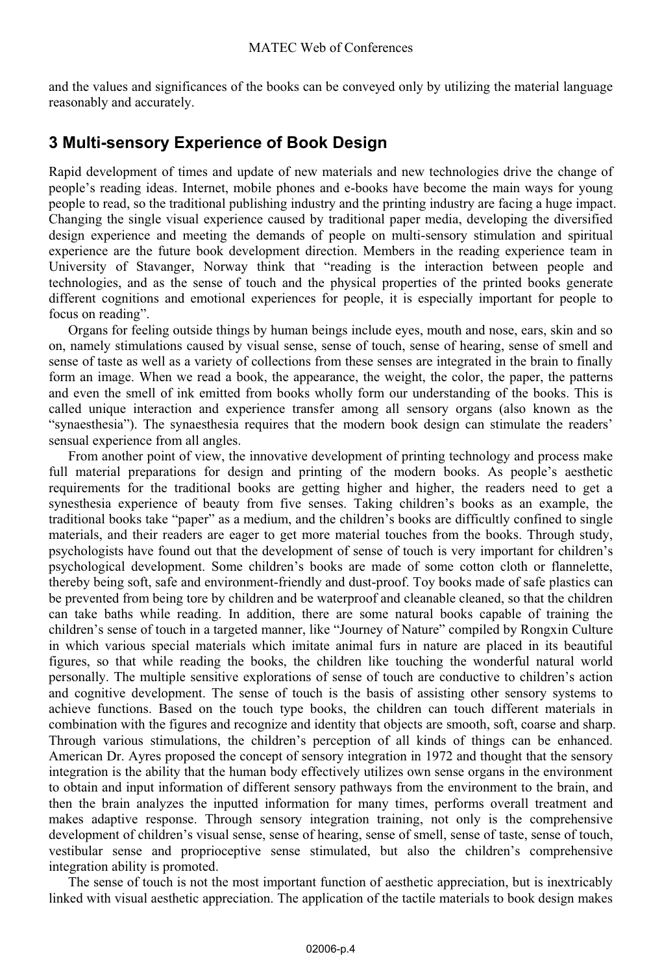and the values and significances of the books can be conveyed only by utilizing the material language reasonably and accurately.

## **3 Multi-sensory Experience of Book Design**

Rapid development of times and update of new materials and new technologies drive the change of people's reading ideas. Internet, mobile phones and e-books have become the main ways for young people to read, so the traditional publishing industry and the printing industry are facing a huge impact. Changing the single visual experience caused by traditional paper media, developing the diversified design experience and meeting the demands of people on multi-sensory stimulation and spiritual experience are the future book development direction. Members in the reading experience team in University of Stavanger, Norway think that "reading is the interaction between people and technologies, and as the sense of touch and the physical properties of the printed books generate different cognitions and emotional experiences for people, it is especially important for people to focus on reading".

Organs for feeling outside things by human beings include eyes, mouth and nose, ears, skin and so on, namely stimulations caused by visual sense, sense of touch, sense of hearing, sense of smell and sense of taste as well as a variety of collections from these senses are integrated in the brain to finally form an image. When we read a book, the appearance, the weight, the color, the paper, the patterns and even the smell of ink emitted from books wholly form our understanding of the books. This is called unique interaction and experience transfer among all sensory organs (also known as the "synaesthesia"). The synaesthesia requires that the modern book design can stimulate the readers' sensual experience from all angles.

From another point of view, the innovative development of printing technology and process make full material preparations for design and printing of the modern books. As people's aesthetic requirements for the traditional books are getting higher and higher, the readers need to get a synesthesia experience of beauty from five senses. Taking children's books as an example, the traditional books take "paper" as a medium, and the children's books are difficultly confined to single materials, and their readers are eager to get more material touches from the books. Through study, psychologists have found out that the development of sense of touch is very important for children's psychological development. Some children's books are made of some cotton cloth or flannelette, thereby being soft, safe and environment-friendly and dust-proof. Toy books made of safe plastics can be prevented from being tore by children and be waterproof and cleanable cleaned, so that the children can take baths while reading. In addition, there are some natural books capable of training the children's sense of touch in a targeted manner, like "Journey of Nature" compiled by Rongxin Culture in which various special materials which imitate animal furs in nature are placed in its beautiful figures, so that while reading the books, the children like touching the wonderful natural world personally. The multiple sensitive explorations of sense of touch are conductive to children's action and cognitive development. The sense of touch is the basis of assisting other sensory systems to achieve functions. Based on the touch type books, the children can touch different materials in combination with the figures and recognize and identity that objects are smooth, soft, coarse and sharp. Through various stimulations, the children's perception of all kinds of things can be enhanced. American Dr. Ayres proposed the concept of sensory integration in 1972 and thought that the sensory integration is the ability that the human body effectively utilizes own sense organs in the environment to obtain and input information of different sensory pathways from the environment to the brain, and then the brain analyzes the inputted information for many times, performs overall treatment and makes adaptive response. Through sensory integration training, not only is the comprehensive development of children's visual sense, sense of hearing, sense of smell, sense of taste, sense of touch, vestibular sense and proprioceptive sense stimulated, but also the children's comprehensive integration ability is promoted.

The sense of touch is not the most important function of aesthetic appreciation, but is inextricably linked with visual aesthetic appreciation. The application of the tactile materials to book design makes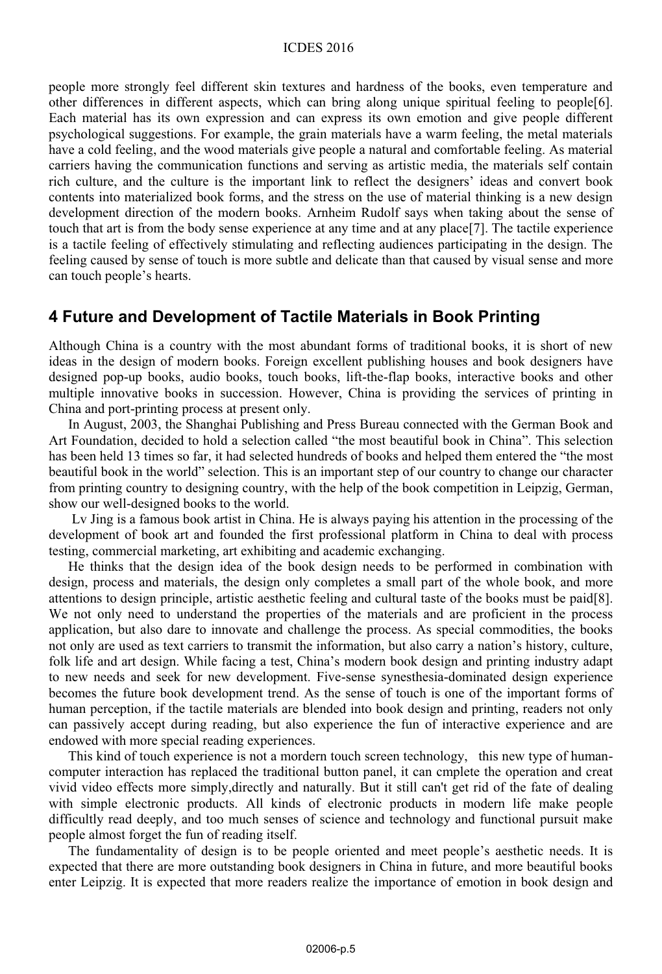people more strongly feel different skin textures and hardness of the books, even temperature and other differences in different aspects, which can bring along unique spiritual feeling to people[6]. Each material has its own expression and can express its own emotion and give people different psychological suggestions. For example, the grain materials have a warm feeling, the metal materials have a cold feeling, and the wood materials give people a natural and comfortable feeling. As material carriers having the communication functions and serving as artistic media, the materials self contain rich culture, and the culture is the important link to reflect the designers' ideas and convert book contents into materialized book forms, and the stress on the use of material thinking is a new design development direction of the modern books. Arnheim Rudolf says when taking about the sense of touch that art is from the body sense experience at any time and at any place[7]. The tactile experience is a tactile feeling of effectively stimulating and reflecting audiences participating in the design. The feeling caused by sense of touch is more subtle and delicate than that caused by visual sense and more can touch people's hearts.

## **4 Future and Development of Tactile Materials in Book Printing**

Although China is a country with the most abundant forms of traditional books, it is short of new ideas in the design of modern books. Foreign excellent publishing houses and book designers have designed pop-up books, audio books, touch books, lift-the-flap books, interactive books and other multiple innovative books in succession. However, China is providing the services of printing in China and port-printing process at present only.

In August, 2003, the Shanghai Publishing and Press Bureau connected with the German Book and Art Foundation, decided to hold a selection called "the most beautiful book in China". This selection has been held 13 times so far, it had selected hundreds of books and helped them entered the "the most beautiful book in the world" selection. This is an important step of our country to change our character from printing country to designing country, with the help of the book competition in Leipzig, German, show our well-designed books to the world.

 Lv Jing is a famous book artist in China. He is always paying his attention in the processing of the development of book art and founded the first professional platform in China to deal with process testing, commercial marketing, art exhibiting and academic exchanging.

He thinks that the design idea of the book design needs to be performed in combination with design, process and materials, the design only completes a small part of the whole book, and more attentions to design principle, artistic aesthetic feeling and cultural taste of the books must be paid[8]. We not only need to understand the properties of the materials and are proficient in the process application, but also dare to innovate and challenge the process. As special commodities, the books not only are used as text carriers to transmit the information, but also carry a nation's history, culture, folk life and art design. While facing a test, China's modern book design and printing industry adapt to new needs and seek for new development. Five-sense synesthesia-dominated design experience becomes the future book development trend. As the sense of touch is one of the important forms of human perception, if the tactile materials are blended into book design and printing, readers not only can passively accept during reading, but also experience the fun of interactive experience and are endowed with more special reading experiences.

This kind of touch experience is not a mordern touch screen technology, this new type of humancomputer interaction has replaced the traditional button panel, it can cmplete the operation and creat vivid video effects more simply,directly and naturally. But it still can't get rid of the fate of dealing with simple electronic products. All kinds of electronic products in modern life make people difficultly read deeply, and too much senses of science and technology and functional pursuit make people almost forget the fun of reading itself.

The fundamentality of design is to be people oriented and meet people's aesthetic needs. It is expected that there are more outstanding book designers in China in future, and more beautiful books enter Leipzig. It is expected that more readers realize the importance of emotion in book design and